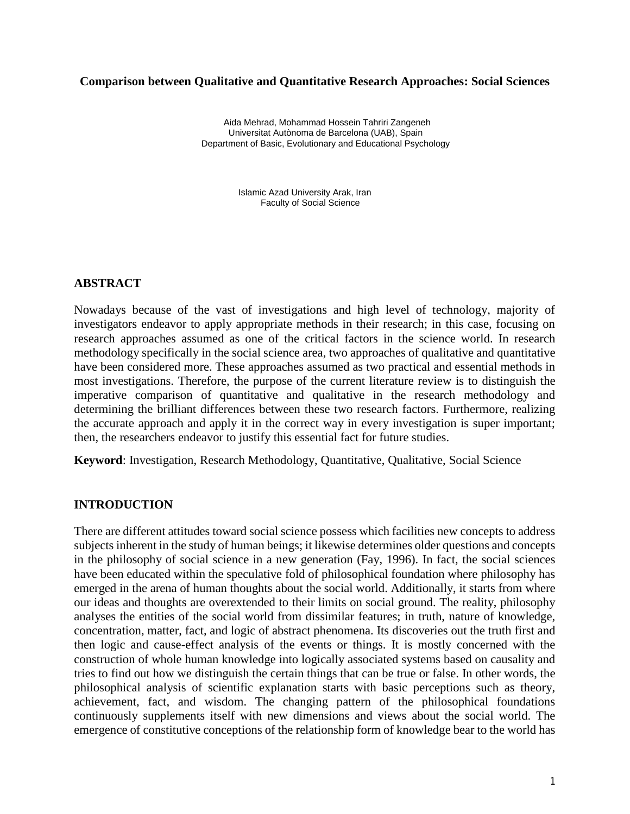### **Comparison between Qualitative and Quantitative Research Approaches: Social Sciences**

**Aida Mehrad<sup>1</sup> , MohammadHossein Tahriri Zangeneh<sup>2</sup>** Aida Mehrad, Mohammad Hossein Tahriri Zangeneh Department of Basic, Evolutionary and Educational Psychology Universitat Autònoma de Barcelona (UAB), Spain

> Faculty of Social Science Islamic Azad University Arak, Iran

## **ABSTRACT**

Nowadays because of the vast of investigations and high level of technology, majority of investigators endeavor to apply appropriate methods in their research; in this case, focusing on research approaches assumed as one of the critical factors in the science world. In research methodology specifically in the social science area, two approaches of qualitative and quantitative have been considered more. These approaches assumed as two practical and essential methods in most investigations. Therefore, the purpose of the current literature review is to distinguish the imperative comparison of quantitative and qualitative in the research methodology and determining the brilliant differences between these two research factors. Furthermore, realizing the accurate approach and apply it in the correct way in every investigation is super important; then, the researchers endeavor to justify this essential fact for future studies.

**Keyword**: Investigation, Research Methodology, Quantitative, Qualitative, Social Science

## **INTRODUCTION**

There are different attitudes toward social science possess which facilities new concepts to address subjects inherent in the study of human beings; it likewise determines older questions and concepts in the philosophy of social science in a new generation (Fay, 1996). In fact, the social sciences have been educated within the speculative fold of philosophical foundation where philosophy has emerged in the arena of human thoughts about the social world. Additionally, it starts from where our ideas and thoughts are overextended to their limits on social ground. The reality, philosophy analyses the entities of the social world from dissimilar features; in truth, nature of knowledge, concentration, matter, fact, and logic of abstract phenomena. Its discoveries out the truth first and then logic and cause-effect analysis of the events or things. It is mostly concerned with the construction of whole human knowledge into logically associated systems based on causality and tries to find out how we distinguish the certain things that can be true or false. In other words, the philosophical analysis of scientific explanation starts with basic perceptions such as theory, achievement, fact, and wisdom. The changing pattern of the philosophical foundations continuously supplements itself with new dimensions and views about the social world. The emergence of constitutive conceptions of the relationship form of knowledge bear to the world has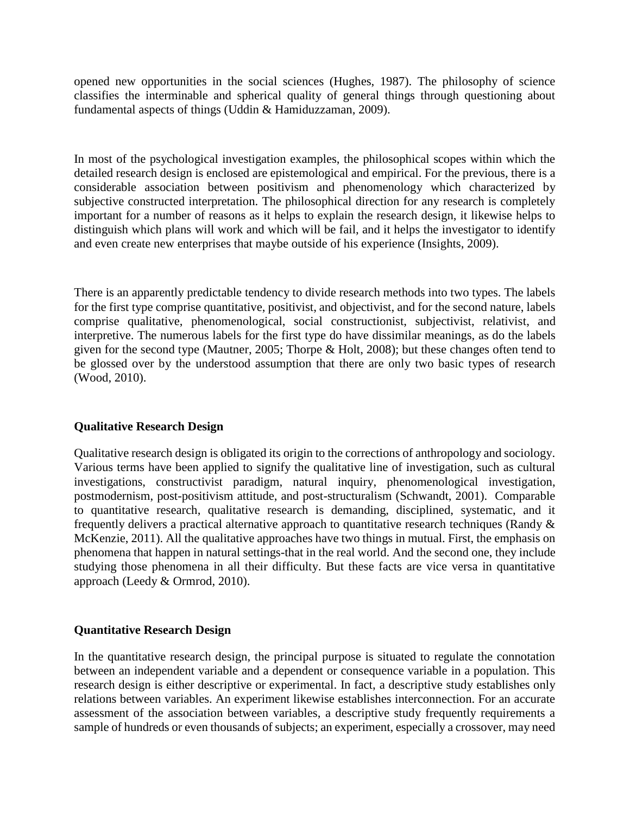opened new opportunities in the social sciences (Hughes, 1987). The philosophy of science classifies the interminable and spherical quality of general things through questioning about fundamental aspects of things (Uddin & Hamiduzzaman, 2009).

In most of the psychological investigation examples, the philosophical scopes within which the detailed research design is enclosed are epistemological and empirical. For the previous, there is a considerable association between positivism and phenomenology which characterized by subjective constructed interpretation. The philosophical direction for any research is completely important for a number of reasons as it helps to explain the research design, it likewise helps to distinguish which plans will work and which will be fail, and it helps the investigator to identify and even create new enterprises that maybe outside of his experience (Insights, 2009).

There is an apparently predictable tendency to divide research methods into two types. The labels for the first type comprise quantitative, positivist, and objectivist, and for the second nature, labels comprise qualitative, phenomenological, social constructionist, subjectivist, relativist, and interpretive. The numerous labels for the first type do have dissimilar meanings, as do the labels given for the second type (Mautner, 2005; Thorpe & Holt, 2008); but these changes often tend to be glossed over by the understood assumption that there are only two basic types of research (Wood, 2010).

# **Qualitative Research Design**

Qualitative research design is obligated its origin to the corrections of anthropology and sociology. Various terms have been applied to signify the qualitative line of investigation, such as cultural investigations, constructivist paradigm, natural inquiry, phenomenological investigation, postmodernism, post-positivism attitude, and post-structuralism (Schwandt, 2001). Comparable to quantitative research, qualitative research is demanding, disciplined, systematic, and it frequently delivers a practical alternative approach to quantitative research techniques (Randy & McKenzie, 2011). All the qualitative approaches have two things in mutual. First, the emphasis on phenomena that happen in natural settings-that in the real world. And the second one, they include studying those phenomena in all their difficulty. But these facts are vice versa in quantitative approach (Leedy & Ormrod, 2010).

## **Quantitative Research Design**

In the quantitative research design, the principal purpose is situated to regulate the connotation between an independent variable and a dependent or consequence variable in a population. This research design is either descriptive or experimental. In fact, a descriptive study establishes only relations between variables. An experiment likewise establishes interconnection. For an accurate assessment of the association between variables, a descriptive study frequently requirements a sample of hundreds or even thousands of subjects; an experiment, especially a crossover, may need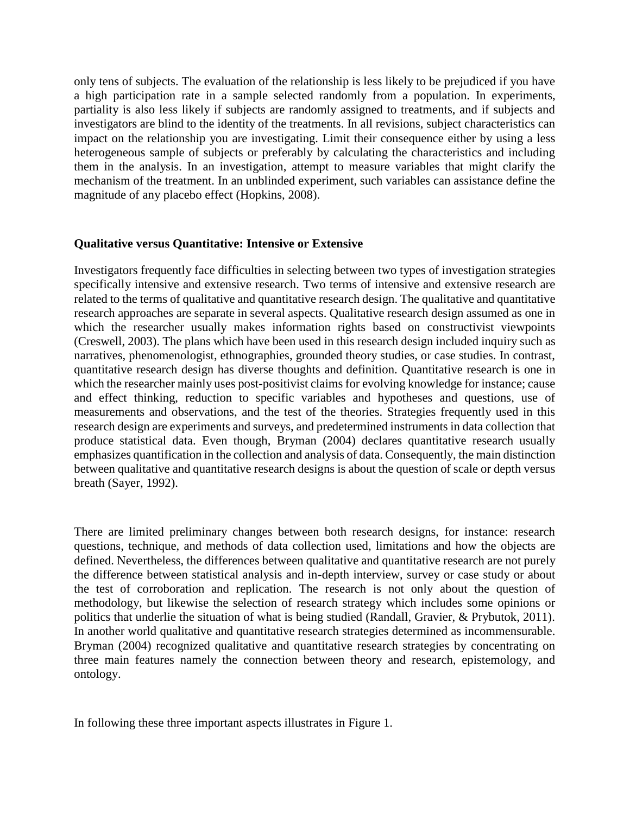only tens of subjects. The evaluation of the relationship is less likely to be prejudiced if you have a high participation rate in a sample selected randomly from a population. In experiments, partiality is also less likely if subjects are randomly assigned to treatments, and if subjects and investigators are blind to the identity of the treatments. In all revisions, subject characteristics can impact on the relationship you are investigating. Limit their consequence either by using a less heterogeneous sample of subjects or preferably by calculating the characteristics and including them in the analysis. In an investigation, attempt to measure variables that might clarify the mechanism of the treatment. In an unblinded experiment, such variables can assistance define the magnitude of any placebo effect (Hopkins, 2008).

### **Qualitative versus Quantitative: Intensive or Extensive**

Investigators frequently face difficulties in selecting between two types of investigation strategies specifically intensive and extensive research. Two terms of intensive and extensive research are related to the terms of qualitative and quantitative research design. The qualitative and quantitative research approaches are separate in several aspects. Qualitative research design assumed as one in which the researcher usually makes information rights based on constructivist viewpoints (Creswell, 2003). The plans which have been used in this research design included inquiry such as narratives, phenomenologist, ethnographies, grounded theory studies, or case studies. In contrast, quantitative research design has diverse thoughts and definition. Quantitative research is one in which the researcher mainly uses post-positivist claims for evolving knowledge for instance; cause and effect thinking, reduction to specific variables and hypotheses and questions, use of measurements and observations, and the test of the theories. Strategies frequently used in this research design are experiments and surveys, and predetermined instruments in data collection that produce statistical data. Even though, Bryman (2004) declares quantitative research usually emphasizes quantification in the collection and analysis of data. Consequently, the main distinction between qualitative and quantitative research designs is about the question of scale or depth versus breath (Sayer, 1992).

There are limited preliminary changes between both research designs, for instance: research questions, technique, and methods of data collection used, limitations and how the objects are defined. Nevertheless, the differences between qualitative and quantitative research are not purely the difference between statistical analysis and in-depth interview, survey or case study or about the test of corroboration and replication. The research is not only about the question of methodology, but likewise the selection of research strategy which includes some opinions or politics that underlie the situation of what is being studied (Randall, Gravier, & Prybutok, 2011). In another world qualitative and quantitative research strategies determined as incommensurable. Bryman (2004) recognized qualitative and quantitative research strategies by concentrating on three main features namely the connection between theory and research, epistemology, and ontology.

In following these three important aspects illustrates in Figure 1.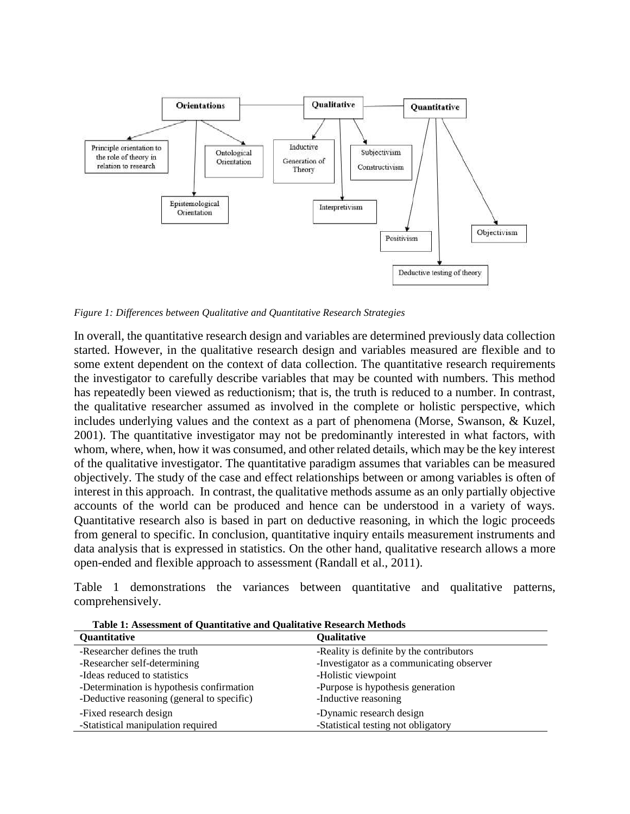

*Figure 1: Differences between Qualitative and Quantitative Research Strategies*

In overall, the quantitative research design and variables are determined previously data collection started. However, in the qualitative research design and variables measured are flexible and to some extent dependent on the context of data collection. The quantitative research requirements the investigator to carefully describe variables that may be counted with numbers. This method has repeatedly been viewed as reductionism; that is, the truth is reduced to a number. In contrast, the qualitative researcher assumed as involved in the complete or holistic perspective, which includes underlying values and the context as a part of phenomena (Morse, Swanson, & Kuzel, 2001). The quantitative investigator may not be predominantly interested in what factors, with whom, where, when, how it was consumed, and other related details, which may be the key interest of the qualitative investigator. The quantitative paradigm assumes that variables can be measured objectively. The study of the case and effect relationships between or among variables is often of interest in this approach. In contrast, the qualitative methods assume as an only partially objective accounts of the world can be produced and hence can be understood in a variety of ways. Quantitative research also is based in part on deductive reasoning, in which the logic proceeds from general to specific. In conclusion, quantitative inquiry entails measurement instruments and data analysis that is expressed in statistics. On the other hand, qualitative research allows a more open-ended and flexible approach to assessment (Randall et al., 2011).

Table 1 demonstrations the variances between quantitative and qualitative patterns, comprehensively.

| <b>Quantitative</b>                        | <b>Qualitative</b>                        |
|--------------------------------------------|-------------------------------------------|
| -Researcher defines the truth              | -Reality is definite by the contributors  |
| -Researcher self-determining               | -Investigator as a communicating observer |
| -Ideas reduced to statistics               | -Holistic viewpoint                       |
| -Determination is hypothesis confirmation  | -Purpose is hypothesis generation         |
| -Deductive reasoning (general to specific) | -Inductive reasoning                      |
| -Fixed research design                     | -Dynamic research design                  |
| -Statistical manipulation required         | -Statistical testing not obligatory       |

**Table 1: Assessment of Quantitative and Qualitative Research Methods**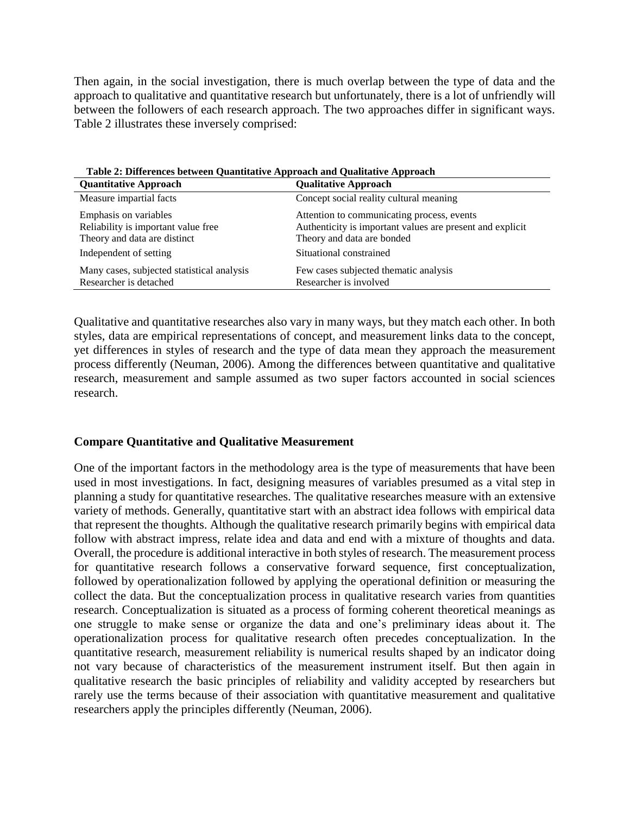Then again, in the social investigation, there is much overlap between the type of data and the approach to qualitative and quantitative research but unfortunately, there is a lot of unfriendly will between the followers of each research approach. The two approaches differ in significant ways. Table 2 illustrates these inversely comprised:

| Table 2. Differences between Quantitative Approach and Quantative Approach<br><b>Quantitative Approach</b> | <b>Qualitative Approach</b>                                                                                                           |
|------------------------------------------------------------------------------------------------------------|---------------------------------------------------------------------------------------------------------------------------------------|
| Measure impartial facts                                                                                    | Concept social reality cultural meaning                                                                                               |
| Emphasis on variables<br>Reliability is important value free<br>Theory and data are distinct               | Attention to communicating process, events<br>Authenticity is important values are present and explicit<br>Theory and data are bonded |
| Independent of setting                                                                                     | Situational constrained                                                                                                               |
| Many cases, subjected statistical analysis<br>Researcher is detached                                       | Few cases subjected thematic analysis<br>Researcher is involved                                                                       |

 **Table 2: Differences between Quantitative Approach and Qualitative Approach**

Qualitative and quantitative researches also vary in many ways, but they match each other. In both styles, data are empirical representations of concept, and measurement links data to the concept, yet differences in styles of research and the type of data mean they approach the measurement process differently (Neuman, 2006). Among the differences between quantitative and qualitative research, measurement and sample assumed as two super factors accounted in social sciences research.

## **Compare Quantitative and Qualitative Measurement**

One of the important factors in the methodology area is the type of measurements that have been used in most investigations. In fact, designing measures of variables presumed as a vital step in planning a study for quantitative researches. The qualitative researches measure with an extensive variety of methods. Generally, quantitative start with an abstract idea follows with empirical data that represent the thoughts. Although the qualitative research primarily begins with empirical data follow with abstract impress, relate idea and data and end with a mixture of thoughts and data. Overall, the procedure is additional interactive in both styles of research. The measurement process for quantitative research follows a conservative forward sequence, first conceptualization, followed by operationalization followed by applying the operational definition or measuring the collect the data. But the conceptualization process in qualitative research varies from quantities research. Conceptualization is situated as a process of forming coherent theoretical meanings as one struggle to make sense or organize the data and one's preliminary ideas about it. The operationalization process for qualitative research often precedes conceptualization. In the quantitative research, measurement reliability is numerical results shaped by an indicator doing not vary because of characteristics of the measurement instrument itself. But then again in qualitative research the basic principles of reliability and validity accepted by researchers but rarely use the terms because of their association with quantitative measurement and qualitative researchers apply the principles differently (Neuman, 2006).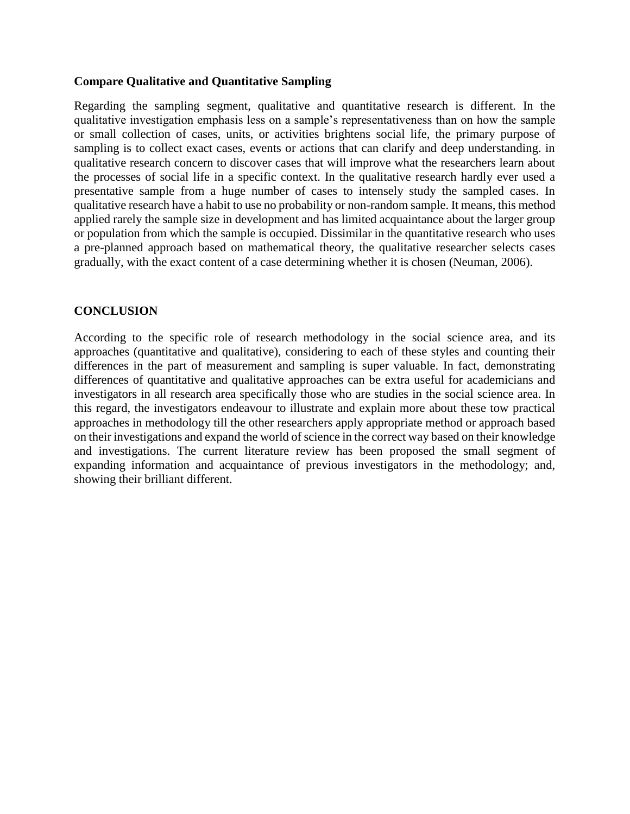## **Compare Qualitative and Quantitative Sampling**

Regarding the sampling segment, qualitative and quantitative research is different. In the qualitative investigation emphasis less on a sample's representativeness than on how the sample or small collection of cases, units, or activities brightens social life, the primary purpose of sampling is to collect exact cases, events or actions that can clarify and deep understanding. in qualitative research concern to discover cases that will improve what the researchers learn about the processes of social life in a specific context. In the qualitative research hardly ever used a presentative sample from a huge number of cases to intensely study the sampled cases. In qualitative research have a habit to use no probability or non-random sample. It means, this method applied rarely the sample size in development and has limited acquaintance about the larger group or population from which the sample is occupied. Dissimilar in the quantitative research who uses a pre-planned approach based on mathematical theory, the qualitative researcher selects cases gradually, with the exact content of a case determining whether it is chosen (Neuman, 2006).

## **CONCLUSION**

According to the specific role of research methodology in the social science area, and its approaches (quantitative and qualitative), considering to each of these styles and counting their differences in the part of measurement and sampling is super valuable. In fact, demonstrating differences of quantitative and qualitative approaches can be extra useful for academicians and investigators in all research area specifically those who are studies in the social science area. In this regard, the investigators endeavour to illustrate and explain more about these tow practical approaches in methodology till the other researchers apply appropriate method or approach based on their investigations and expand the world of science in the correct way based on their knowledge and investigations. The current literature review has been proposed the small segment of expanding information and acquaintance of previous investigators in the methodology; and, showing their brilliant different.